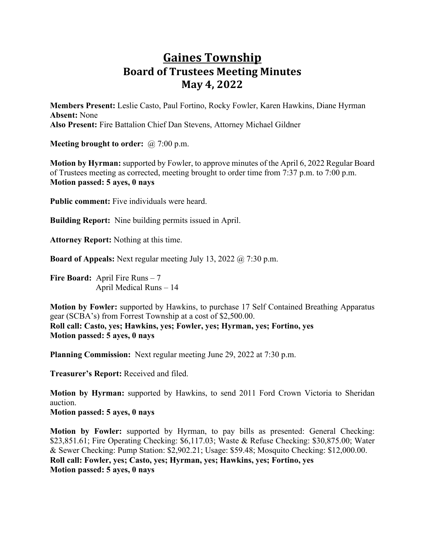## **Gaines Township Board of Trustees Meeting Minutes May 4, 2022**

**Members Present:** Leslie Casto, Paul Fortino, Rocky Fowler, Karen Hawkins, Diane Hyrman **Absent:** None **Also Present:** Fire Battalion Chief Dan Stevens, Attorney Michael Gildner

**Meeting brought to order:** @ 7:00 p.m.

**Motion by Hyrman:** supported by Fowler, to approve minutes of the April 6, 2022 Regular Board of Trustees meeting as corrected, meeting brought to order time from 7:37 p.m. to 7:00 p.m. **Motion passed: 5 ayes, 0 nays**

**Public comment:** Five individuals were heard.

**Building Report:** Nine building permits issued in April.

**Attorney Report:** Nothing at this time.

**Board of Appeals:** Next regular meeting July 13, 2022 @ 7:30 p.m.

**Fire Board:** April Fire Runs – 7 April Medical Runs – 14

**Motion by Fowler:** supported by Hawkins, to purchase 17 Self Contained Breathing Apparatus gear (SCBA's) from Forrest Township at a cost of \$2,500.00. **Roll call: Casto, yes; Hawkins, yes; Fowler, yes; Hyrman, yes; Fortino, yes Motion passed: 5 ayes, 0 nays**

**Planning Commission:** Next regular meeting June 29, 2022 at 7:30 p.m.

**Treasurer's Report:** Received and filed.

**Motion by Hyrman:** supported by Hawkins, to send 2011 Ford Crown Victoria to Sheridan auction. **Motion passed: 5 ayes, 0 nays**

**Motion by Fowler:** supported by Hyrman, to pay bills as presented: General Checking: \$23,851.61; Fire Operating Checking: \$6,117.03; Waste & Refuse Checking: \$30,875.00; Water & Sewer Checking: Pump Station: \$2,902.21; Usage: \$59.48; Mosquito Checking: \$12,000.00. **Roll call: Fowler, yes; Casto, yes; Hyrman, yes; Hawkins, yes; Fortino, yes Motion passed: 5 ayes, 0 nays**